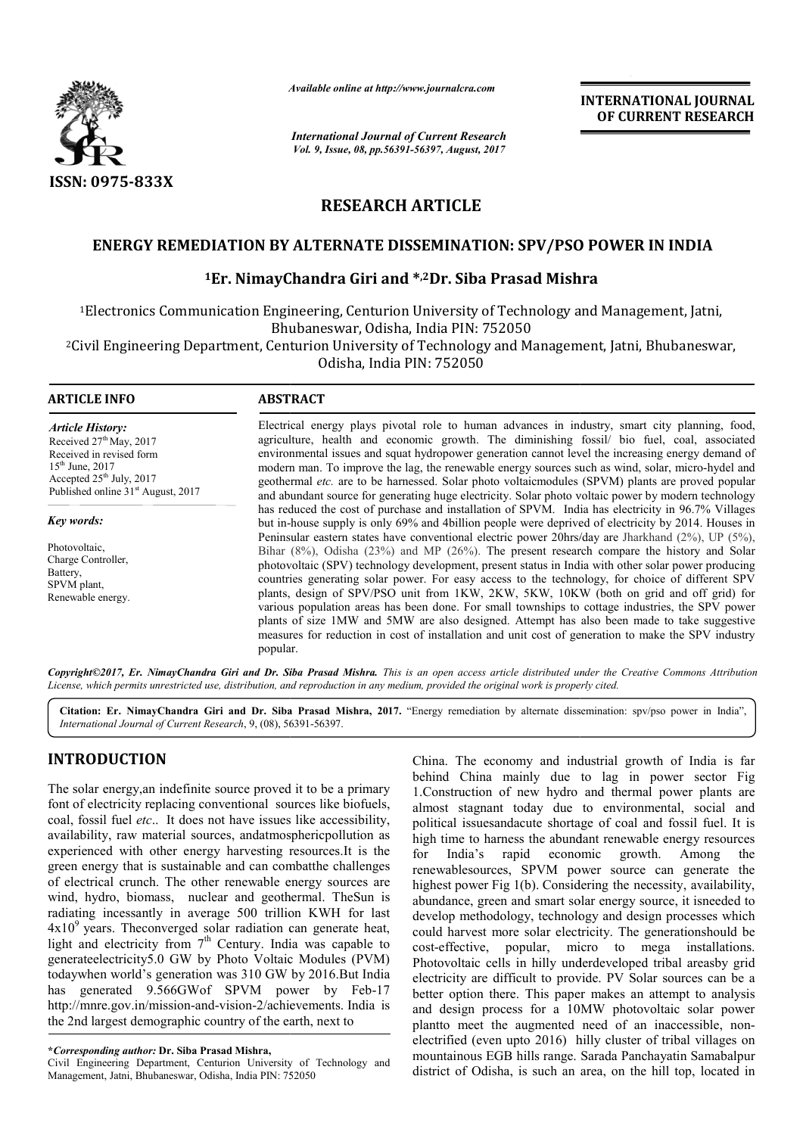

*Available online at http://www.journal http://www.journalcra.com*

*International Journal of Current Research Vol. 9, Issue, 08, pp.56391-56397, August, 2017* **INTERNATIONAL JOURNAL OF CURRENT RESEARCH** 

# **RESEARCH ARTICLE**

# ENERGY REMEDIATION BY ALTERNATE DISSEMINATION: SPV/PSO POWER IN INDIA<br><sup>1</sup>Er. NimayChandra Giri and \*<sup>,2</sup>Dr. Siba Prasad Mishra

# <sup>1</sup>Er. NimayChandra Giri and \*<sup>,2</sup>Dr. Siba Prasad Mishra

1Electronics Communication Engineering, Centurion University of Technology and Management, Jatni, Bhubaneswar, Odisha, India PIN: 752050 nmunication Engineering, Centurion University of Technology and Management, Jatni,<br>Bhubaneswar, Odisha, India PIN: 752050<br>Department, Centurion University of Technology and Management, Jatni, Bhubaneswar,

2Civil Engineering Department, Centurion University of Technology and Management, Civil Odisha, India PIN: 752050

| <b>ARTICLE INFO</b>                                                                                                                                                                      | <b>ABSTRACT</b>                                                                                                                                                                                                                                                                                                                                                                                                                                                                                                                                                                                                                                                                                                                                                                                                                               |
|------------------------------------------------------------------------------------------------------------------------------------------------------------------------------------------|-----------------------------------------------------------------------------------------------------------------------------------------------------------------------------------------------------------------------------------------------------------------------------------------------------------------------------------------------------------------------------------------------------------------------------------------------------------------------------------------------------------------------------------------------------------------------------------------------------------------------------------------------------------------------------------------------------------------------------------------------------------------------------------------------------------------------------------------------|
| <b>Article History:</b><br>Received $27th$ May, 2017<br>Received in revised form<br>$15^{th}$ June, 2017<br>Accepted $25th$ July, 2017<br>Published online 31 <sup>st</sup> August, 2017 | Electrical energy plays pivotal role to human advances in industry, smart city planning, food,<br>agriculture, health and economic growth. The diminishing fossil/ bio fuel, coal, associated<br>environmental issues and squat hydropower generation cannot level the increasing energy demand of<br>modern man. To improve the lag, the renewable energy sources such as wind, solar, micro-hydel and<br>geothermal etc. are to be harnessed. Solar photo voltaicmodules (SPVM) plants are proved popular                                                                                                                                                                                                                                                                                                                                   |
|                                                                                                                                                                                          | and abundant source for generating huge electricity. Solar photo voltaic power by modern technology<br>has reduced the cost of purchase and installation of SPVM. India has electricity in 96.7% Villages                                                                                                                                                                                                                                                                                                                                                                                                                                                                                                                                                                                                                                     |
| Key words:                                                                                                                                                                               | but in-house supply is only 69% and 4 billion people were deprived of electricity by 2014. Houses in                                                                                                                                                                                                                                                                                                                                                                                                                                                                                                                                                                                                                                                                                                                                          |
| Photovoltaic,<br>Charge Controller,<br>Battery,<br>SPVM plant,<br>Renewable energy.                                                                                                      | Peninsular eastern states have conventional electric power 20hrs/day are Jharkhand $(2\%)$ , UP $(5\%)$ ,<br>Bihar $(8\%)$ , Odisha $(23\%)$ and MP $(26\%)$ . The present research compare the history and Solar<br>photovoltaic (SPV) technology development, present status in India with other solar power producing<br>countries generating solar power. For easy access to the technology, for choice of different SPV<br>plants, design of SPV/PSO unit from 1KW, 2KW, 5KW, 10KW (both on grid and off grid) for<br>various population areas has been done. For small townships to cottage industries, the SPV power<br>plants of size 1MW and 5MW are also designed. Attempt has also been made to take suggestive<br>measures for reduction in cost of installation and unit cost of generation to make the SPV industry<br>popular. |

Copyright©2017, Er. NimayChandra Giri and Dr. Siba Prasad Mishra. This is an open access article distributed under the Creative Commons Attribution *License, which permits unrestricted use, distribution, and reproduction in any medium, provided the original work is properly cited. use, in medium, cited.*

Citation: Er. NimayChandra Giri and Dr. Siba Prasad Mishra, 2017. "Energy remediation by alternate dissemination: spv/pso power in India", *International Journal of Current Research*, 9, (08), 56391 56391-56397.

# **INTRODUCTION**

The solar energy,an indefinite source proved it to be a primary font of electricity replacing conventional sources like biofuels biofuels, coal, fossil fuel *etc*.. It does not have issues like accessibility, availability, raw material sources, andatmosphericpollution as experienced with other energy harvesting resources. It is the green energy that is sustainable and can combatthe challenges of electrical crunch. The other renewable energy sources are wind, hydro, biomass, nuclear and geothermal. TheSun is radiating incessantly in average 500 trillion KWH for last  $4x10<sup>9</sup>$  years. Theconverged solar radiation can generate heat, light and electricity from  $7<sup>th</sup>$  Century. India was capable to generateelectricity5.0 GW by Photo Voltaic Modules (PVM) todaywhen world's generation was 310 GW by 2016.But India has generated 9.566GWof SPVM power by Feb Feb-17 http://mnre.gov.in/mission-and-vision-2/achievements. 2/achievements. India is the 2nd largest demographic country of the earth, next to

Civil Engineering Department, Centurion University of Technology and Management, Jatni, Bhubaneswar, Odisha, India PIN: 752050

China. The economy and industrial growth of India is far China. The economy and industrial growth of India is far<br>behind China mainly due to lag in power sector Fig 1.Construction of new hydro and thermal power plants are almost stagnant today due to environmental, social and political issuesandacute shortage of coal and fossil fuel. It is high time to harness the abundant renewable energy resources for India's rapid economic growth. Among the renewablesources, SPVM power source can generate the highest power Fig 1(b). Considering the necessity, availability, abundance, green and smart solar energy source, it isneeded to develop methodology, technology and design processes which could harvest more solar electricity. The generationshould be cost-effective, popular, micro to mega installations. Photovoltaic cells in hilly underdeveloped tribal areasby grid electricity are difficult to provide. PV Solar sources can be better option there. This paper makes an attempt to analysis better option there. This paper makes an attempt to analysis and design process for a 10MW photovoltaic solar power plantto meet the augmented need of an inaccessible, nonelectrified (even upto 2016) hilly cluster of tribal villages on mountainous EGB hills range. Sarada Panchayatin Samabalpur district of Odisha, is such an area, on the hill top, located in today due to environmental, social and lacute shortage of coal and fossil fuel. It is<br>sss the abundant renewable energy resources<br>pid economic growth. Among the<br>SPVM power source can generate the<br>1(b). Considering the nece I harvest more solar electricity. The generationshould be effective, popular, micro to mega installations.<br>
sovoltaic cells in hilly underdeveloped tribal areasby grid<br>
ricity are difficult to provide. PV Solar sources can **INTERNATIONAL JOURNAL OF CURRENT RESEARCH**<br> **OF CURRENT RESEARCH**<br> **OF CURRENT RESEARCH**<br> **S2PV/PSO POWER IN INDIA**<br> **S3PV/PSO POWER IN INDIA**<br> **S4PV/PSO POWER IN INDIA**<br> **S4PV**<br> **Management, Jatni, Bhubaneswar,**<br> **Manag** 

**<sup>\*</sup>***Corresponding author:* **Dr. Siba Prasad Mishra,**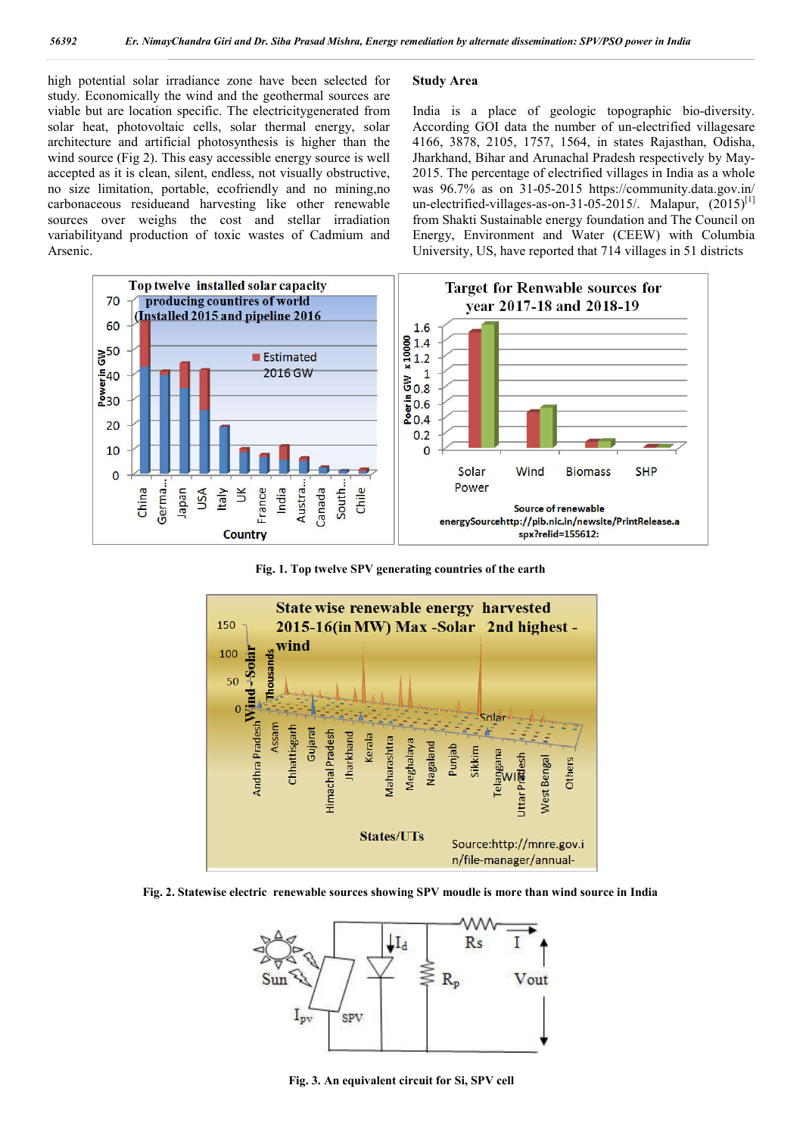high potential solar irradiance zone have been selected for study. Economically the wind and the geothermal sources are viable but are location specific. The electricitygenerated from solar heat, photovoltaic cells, solar thermal energy, solar architecture and artificial photosynthesis is higher than the wind source (Fig 2). This easy accessible energy source is well accepted as it is clean, silent, endless, not visually obstructive, no size limitation, portable, ecofriendly and no mining,no carbonaceous residueand harvesting like other renewable sources over weighs the cost and stellar irradiation variabilityand production of toxic wastes of Cadmium and Arsenic.

### **Study Area**

India is a place of geologic topographic bio-diversity. According GOI data the number of un-electrified villagesare 4166, 3878, 2105, 1757, 1564, in states Rajasthan, Odisha, Jharkhand, Bihar and Arunachal Pradesh respectively by May-2015. The percentage of electrified villages in India as a whole was 96.7% as on 31-05-2015 https://community.data.gov.in/ un-electrified-villages-as-on-31-05-2015/. Malapur,  $(2015)^{[1]}$ from Shakti Sustainable energy foundation and The Council on Energy, Environment and Water (CEEW) with Columbia University, US, have reported that 714 villages in 51 districts



**Fig. 1. Top twelve SPV generating countries of the earth**



**Fig. 2. Statewise electric renewable sources showing SPV moudle is more than wind source in India**



**Fig. 3. An equivalent circuit for Si, SPV cell**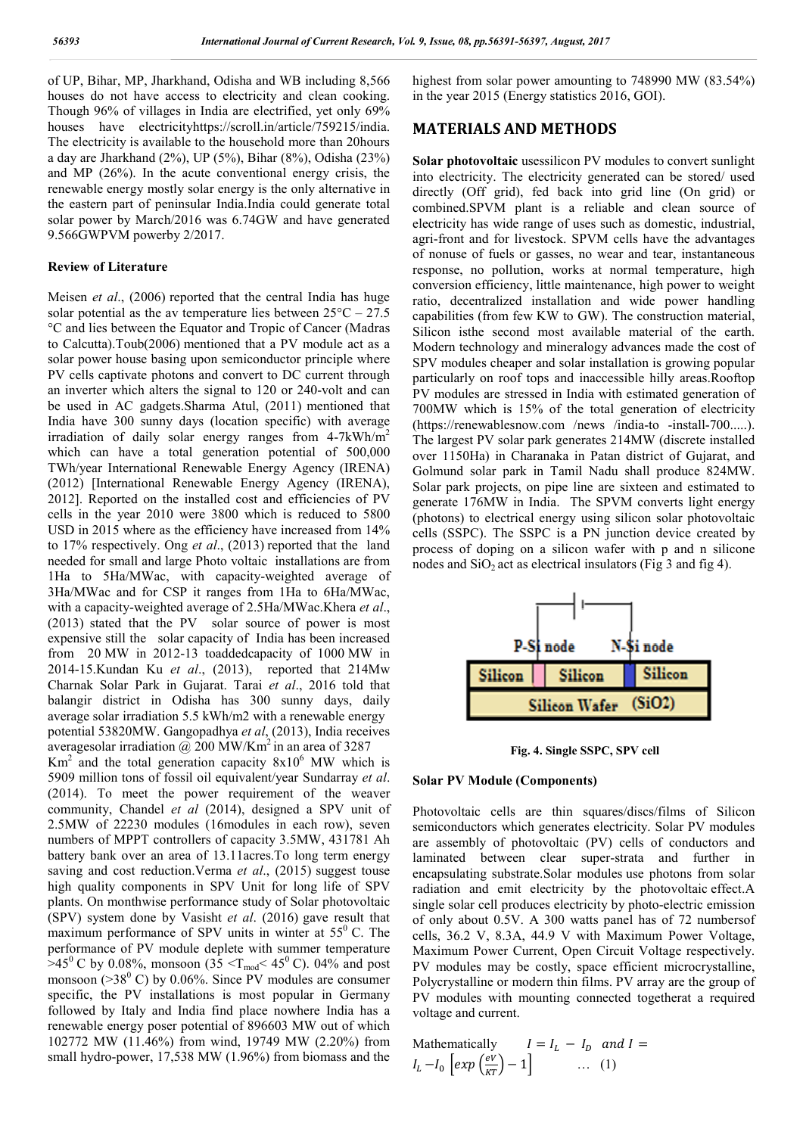of UP, Bihar, MP, Jharkhand, Odisha and WB including 8,566 houses do not have access to electricity and clean cooking. Though 96% of villages in India are electrified, yet only 69% houses have electricityhttps://scroll.in/article/759215/india. The electricity is available to the household more than 20hours a day are Jharkhand (2%), UP (5%), Bihar (8%), Odisha (23%) and MP (26%). In the acute conventional energy crisis, the renewable energy mostly solar energy is the only alternative in the eastern part of peninsular India.India could generate total solar power by March/2016 was 6.74GW and have generated 9.566GWPVM powerby 2/2017.

## **Review of Literature**

Meisen *et al*., (2006) reported that the central India has huge solar potential as the av temperature lies between  $25^{\circ}\text{C} - 27.5$ °C and lies between the Equator and Tropic of Cancer (Madras to Calcutta).Toub(2006) mentioned that a PV module act as a solar power house basing upon semiconductor principle where PV cells captivate photons and convert to DC current through an inverter which alters the signal to 120 or 240-volt and can be used in AC gadgets.Sharma Atul, (2011) mentioned that India have 300 sunny days (location specific) with average irradiation of daily solar energy ranges from 4-7kWh/m2 which can have a total generation potential of 500,000 TWh/year International Renewable Energy Agency (IRENA) (2012) [International Renewable Energy Agency (IRENA), 2012]. Reported on the installed cost and efficiencies of PV cells in the year 2010 were 3800 which is reduced to 5800 USD in 2015 where as the efficiency have increased from 14% to 17% respectively. Ong *et al*., (2013) reported that the land needed for small and large Photo voltaic installations are from 1Ha to 5Ha/MWac, with capacity-weighted average of 3Ha/MWac and for CSP it ranges from 1Ha to 6Ha/MWac, with a capacity-weighted average of 2.5Ha/MWac.Khera *et al*., (2013) stated that the PV solar source of power is most expensive still the solar capacity of India has been increased from 20 MW in 2012-13 toaddedcapacity of 1000 MW in 2014-15.Kundan Ku *et al*., (2013), reported that 214Mw Charnak Solar Park in Gujarat. Tarai *et al*., 2016 told that balangir district in Odisha has 300 sunny days, daily average solar irradiation 5.5 kWh/m2 with a renewable energy potential 53820MW. Gangopadhya *et al*, (2013), India receives averagesolar irradiation  $\omega$  200 MW/Km<sup>2</sup> in an area of 3287

 $Km<sup>2</sup>$  and the total generation capacity  $8x10<sup>6</sup>$  MW which is 5909 million tons of fossil oil equivalent/year Sundarray *et al*. (2014). To meet the power requirement of the weaver community, Chandel *et al* (2014), designed a SPV unit of 2.5MW of 22230 modules (16modules in each row), seven numbers of MPPT controllers of capacity 3.5MW, 431781 Ah battery bank over an area of 13.11acres.To long term energy saving and cost reduction.Verma *et al*., (2015) suggest touse high quality components in SPV Unit for long life of SPV plants. On monthwise performance study of Solar photovoltaic (SPV) system done by Vasisht *et al*. (2016) gave result that maximum performance of SPV units in winter at  $55^{\circ}$  C. The performance of PV module deplete with summer temperature  $>45^{\circ}$  C by 0.08%, monsoon (35 < T<sub>mod</sub> < 45<sup>°</sup> C). 04% and post monsoon ( $>38^{\circ}$  C) by 0.06%. Since PV modules are consumer specific, the PV installations is most popular in Germany followed by Italy and India find place nowhere India has a renewable energy poser potential of 896603 MW out of which 102772 MW (11.46%) from wind, 19749 MW (2.20%) from small hydro-power, 17,538 MW (1.96%) from biomass and the

highest from solar power amounting to 748990 MW (83.54%) in the year 2015 (Energy statistics 2016, GOI).

# **MATERIALS AND METHODS**

**Solar photovoltaic** usessilicon PV modules to convert sunlight into electricity. The electricity generated can be stored/ used directly (Off grid), fed back into grid line (On grid) or combined.SPVM plant is a reliable and clean source of electricity has wide range of uses such as domestic, industrial, agri-front and for livestock. SPVM cells have the advantages of nonuse of fuels or gasses, no wear and tear, instantaneous response, no pollution, works at normal temperature, high conversion efficiency, little maintenance, high power to weight ratio, decentralized installation and wide power handling capabilities (from few KW to GW). The construction material, Silicon isthe second most available material of the earth. Modern technology and mineralogy advances made the cost of SPV modules cheaper and solar installation is growing popular particularly on roof tops and inaccessible hilly areas.Rooftop PV modules are stressed in India with estimated generation of 700MW which is 15% of the total generation of electricity (https://renewablesnow.com /news /india-to -install-700.....). The largest PV solar park generates 214MW (discrete installed over 1150Ha) in Charanaka in Patan district of Gujarat, and Golmund solar park in Tamil Nadu shall produce 824MW. Solar park projects, on pipe line are sixteen and estimated to generate 176MW in India. The SPVM converts light energy (photons) to electrical energy using silicon solar photovoltaic cells (SSPC). The SSPC is a PN junction device created by process of doping on a silicon wafer with p and n silicone nodes and  $SiO<sub>2</sub>$  act as electrical insulators (Fig 3 and fig 4).



**Fig. 4. Single SSPC, SPV cell**

#### **Solar PV Module (Components)**

Photovoltaic cells are thin squares/discs/films of Silicon semiconductors which generates electricity. Solar PV modules are assembly of photovoltaic (PV) cells of conductors and laminated between clear super-strata and further in encapsulating substrate.Solar modules use photons from solar radiation and emit electricity by the photovoltaic effect.A single solar cell produces electricity by photo-electric emission of only about 0.5V. A 300 watts panel has of 72 numbersof cells, 36.2 V, 8.3A, 44.9 V with Maximum Power Voltage, Maximum Power Current, Open Circuit Voltage respectively. PV modules may be costly, space efficient microcrystalline, Polycrystalline or modern thin films. PV array are the group of PV modules with mounting connected togetherat a required voltage and current.

Mathematically 
$$
I = I_L - I_D
$$
 and  $I = I_L - I_0 \left[ exp \left( \frac{eV}{KT} \right) - 1 \right]$  ... (1)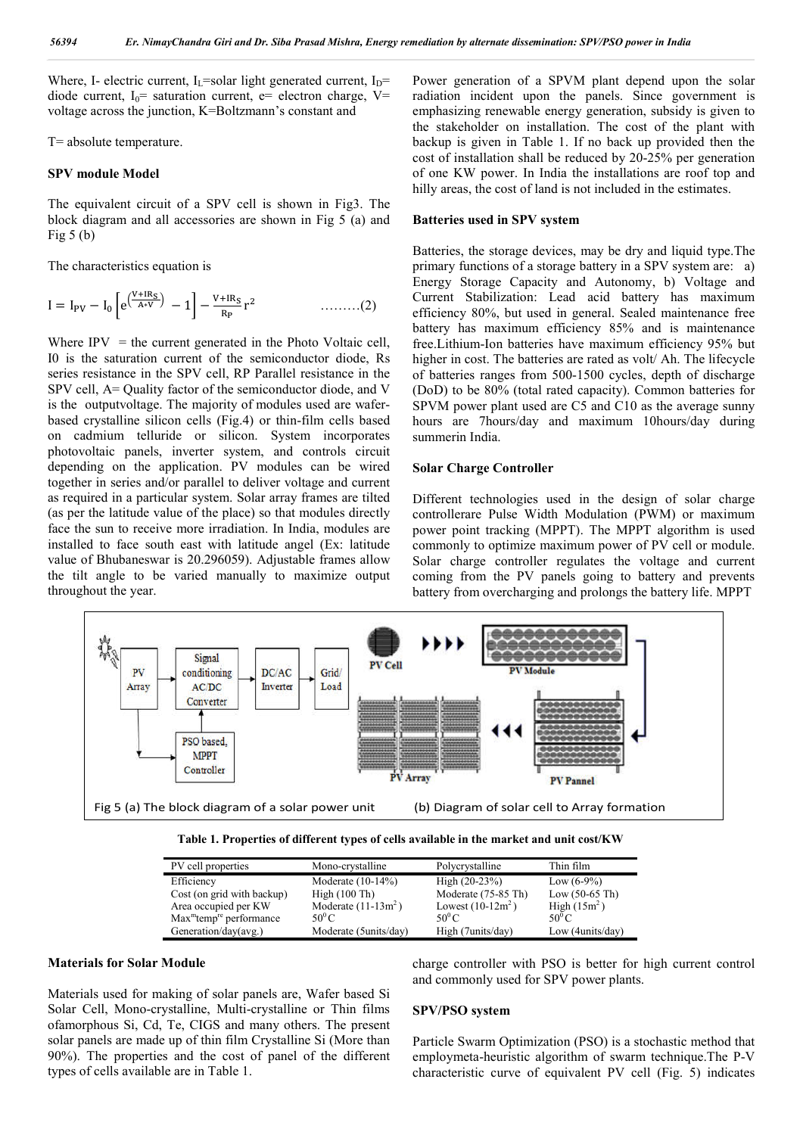Where, I- electric current, I<sub>L</sub>=solar light generated current, I<sub>D</sub>= diode current,  $I_0$ = saturation current, e= electron charge, V= voltage across the junction, K=Boltzmann's constant and

T= absolute temperature.

#### **SPV module Model**

The equivalent circuit of a SPV cell is shown in Fig3. The block diagram and all accessories are shown in Fig 5 (a) and Fig  $5$  (b)

The characteristics equation is

$$
I = I_{PV} - I_0 \left[ e^{\left(\frac{V + IR_S}{A*V}\right)} - 1 \right] - \frac{V + IR_S}{R_P} r^2 \qquad \qquad \dots \dots \dots (2)
$$

Where  $IPV =$  the current generated in the Photo Voltaic cell, I0 is the saturation current of the semiconductor diode, Rs series resistance in the SPV cell, RP Parallel resistance in the SPV cell, A= Quality factor of the semiconductor diode, and V is the outputvoltage. The majority of modules used are waferbased crystalline silicon cells (Fig.4) or thin-film cells based on cadmium telluride or silicon. System incorporates photovoltaic panels, inverter system, and controls circuit depending on the application. PV modules can be wired together in series and/or parallel to deliver voltage and current as required in a particular system. Solar array frames are tilted (as per the latitude value of the place) so that modules directly face the sun to receive more irradiation. In India, modules are installed to face south east with latitude angel (Ex: latitude value of Bhubaneswar is 20.296059). Adjustable frames allow the tilt angle to be varied manually to maximize output throughout the year.

Power generation of a SPVM plant depend upon the solar radiation incident upon the panels. Since government is emphasizing renewable energy generation, subsidy is given to the stakeholder on installation. The cost of the plant with backup is given in Table 1. If no back up provided then the cost of installation shall be reduced by 20-25% per generation of one KW power. In India the installations are roof top and hilly areas, the cost of land is not included in the estimates.

#### **Batteries used in SPV system**

Batteries, the storage devices, may be dry and liquid type.The primary functions of a storage battery in a SPV system are: a) Energy Storage Capacity and Autonomy, b) Voltage and Current Stabilization: Lead acid battery has maximum efficiency 80%, but used in general. Sealed maintenance free battery has maximum efficiency 85% and is maintenance free.Lithium-Ion batteries have maximum efficiency 95% but higher in cost. The batteries are rated as volt/ Ah. The lifecycle of batteries ranges from 500-1500 cycles, depth of discharge (DoD) to be 80% (total rated capacity). Common batteries for SPVM power plant used are C5 and C10 as the average sunny hours are 7hours/day and maximum 10hours/day during summerin India.

#### **Solar Charge Controller**

Different technologies used in the design of solar charge controllerare Pulse Width Modulation (PWM) or maximum power point tracking (MPPT). The MPPT algorithm is used commonly to optimize maximum power of PV cell or module. Solar charge controller regulates the voltage and current coming from the PV panels going to battery and prevents battery from overcharging and prolongs the battery life. MPPT



| Table 1. Properties of different types of cells available in the market and unit cost/KW |  |  |  |
|------------------------------------------------------------------------------------------|--|--|--|
|------------------------------------------------------------------------------------------|--|--|--|

| Mono-crystalline      | Polycrystalline     | Thin film        |
|-----------------------|---------------------|------------------|
| Moderate $(10-14\%)$  | High $(20-23%)$     | Low $(6-9\%)$    |
| High (100 Th)         | Moderate (75-85 Th) | Low $(50-65)$ Th |
| Moderate $(11-13m^2)$ | Lowest $(10-12m^2)$ | High $(15m^2)$   |
| 50 $^{\rm 0}$ C       | $50^0$ C            | 50 $^{\circ}$ C  |
| Moderate (5units/day) | High (7units/day)   | Low (4units/day) |
|                       |                     |                  |

#### **Materials for Solar Module**

Materials used for making of solar panels are, Wafer based Si Solar Cell, Mono-crystalline, Multi-crystalline or Thin films ofamorphous Si, Cd, Te, CIGS and many others. The present solar panels are made up of thin film Crystalline Si (More than 90%). The properties and the cost of panel of the different types of cells available are in Table 1.

charge controller with PSO is better for high current control and commonly used for SPV power plants.

#### **SPV/PSO system**

Particle Swarm Optimization (PSO) is a stochastic method that employmeta-heuristic algorithm of swarm technique.The P-V characteristic curve of equivalent PV cell (Fig. 5) indicates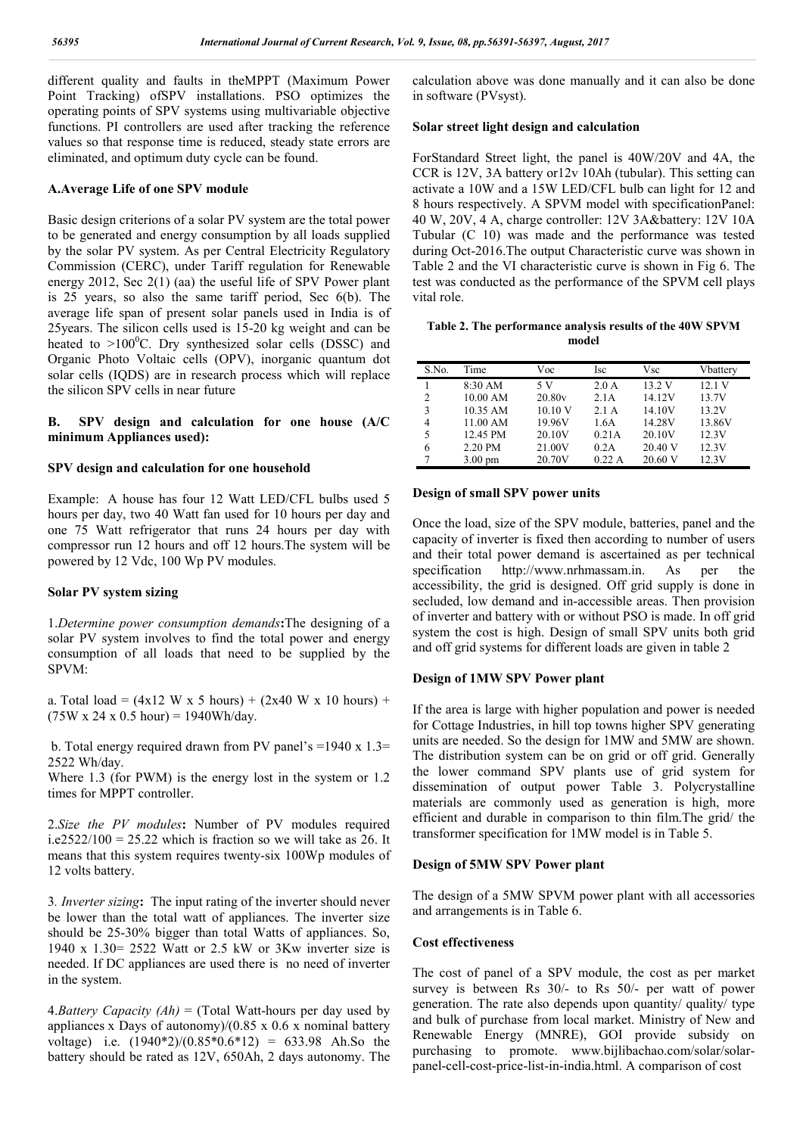different quality and faults in theMPPT (Maximum Power Point Tracking) ofSPV installations. PSO optimizes the operating points of SPV systems using multivariable objective functions. PI controllers are used after tracking the reference values so that response time is reduced, steady state errors are eliminated, and optimum duty cycle can be found.

### **A.Average Life of one SPV module**

Basic design criterions of a solar PV system are the total power to be generated and energy consumption by all loads supplied by the solar PV system. As per Central Electricity Regulatory Commission (CERC), under Tariff regulation for Renewable energy 2012, Sec 2(1) (aa) the useful life of SPV Power plant is 25 years, so also the same tariff period, Sec 6(b). The average life span of present solar panels used in India is of 25years. The silicon cells used is 15-20 kg weight and can be heated to  $>100^{\circ}$ C. Dry synthesized solar cells (DSSC) and Organic Photo Voltaic cells (OPV), inorganic quantum dot solar cells (IQDS) are in research process which will replace the silicon SPV cells in near future

## **B. SPV design and calculation for one house (A/C minimum Appliances used):**

## **SPV design and calculation for one household**

Example: A house has four 12 Watt LED/CFL bulbs used 5 hours per day, two 40 Watt fan used for 10 hours per day and one 75 Watt refrigerator that runs 24 hours per day with compressor run 12 hours and off 12 hours.The system will be powered by 12 Vdc, 100 Wp PV modules.

## **Solar PV system sizing**

1.*Determine power consumption demands***:**The designing of a solar PV system involves to find the total power and energy consumption of all loads that need to be supplied by the SPVM:

a. Total load =  $(4x12 W x 5 hours) + (2x40 W x 10 hours) +$  $(75W \times 24 \times 0.5 \text{ hour}) = 1940Wh/day.$ 

b. Total energy required drawn from PV panel's =1940 x 1.3= 2522 Wh/day.

Where 1.3 (for PWM) is the energy lost in the system or 1.2 times for MPPT controller.

2.*Size the PV modules***:** Number of PV modules required  $i.e. 2522/100 = 25.22$  which is fraction so we will take as 26. It means that this system requires twenty-six 100Wp modules of 12 volts battery.

3*. Inverter sizing***:** The input rating of the inverter should never be lower than the total watt of appliances. The inverter size should be 25-30% bigger than total Watts of appliances. So, 1940 x 1.30= 2522 Watt or 2.5 kW or 3Kw inverter size is needed. If DC appliances are used there is no need of inverter in the system.

4.*Battery Capacity (Ah)* = (Total Watt-hours per day used by appliances x Days of autonomy)/(0.85 x 0.6 x nominal battery voltage) i.e.  $(1940*2)/(0.85*0.6*12) = 633.98$  Ah.So the battery should be rated as 12V, 650Ah, 2 days autonomy. The calculation above was done manually and it can also be done in software (PVsyst).

## **Solar street light design and calculation**

ForStandard Street light, the panel is 40W/20V and 4A, the CCR is 12V, 3A battery or12v 10Ah (tubular). This setting can activate a 10W and a 15W LED/CFL bulb can light for 12 and 8 hours respectively. A SPVM model with specificationPanel: 40 W, 20V, 4 A, charge controller: 12V 3A&battery: 12V 10A Tubular (C 10) was made and the performance was tested during Oct-2016.The output Characteristic curve was shown in Table 2 and the VI characteristic curve is shown in Fig 6. The test was conducted as the performance of the SPVM cell plays vital role.

## **Table 2. The performance analysis results of the 40W SPVM model**

| S.No.          | Time              | Voc     | Isc   | Vsc     | Vbattery |
|----------------|-------------------|---------|-------|---------|----------|
|                | 8:30 AM           | 5 V     | 2.0 A | 13.2V   | 12.1V    |
| $\overline{c}$ | 10.00 AM          | 20.80v  | 2.1A  | 14.12V  | 13.7V    |
| 3              | 10.35 AM          | 10.10 V | 2.1A  | 14.10V  | 13.2V    |
| 4              | 11.00 AM          | 19.96V  | 1.6A  | 14.28V  | 13.86V   |
| 5              | 12.45 PM          | 20.10V  | 0.21A | 20.10V  | 12.3V    |
| 6              | 2.20 PM           | 21.00V  | 0.2A  | 20.40 V | 12.3V    |
| 7              | $3.00 \text{ pm}$ | 20.70V  | 0.22A | 20.60 V | 12.3V    |

# **Design of small SPV power units**

Once the load, size of the SPV module, batteries, panel and the capacity of inverter is fixed then according to number of users and their total power demand is ascertained as per technical specification http://www.nrhmassam.in. As per the accessibility, the grid is designed. Off grid supply is done in secluded, low demand and in-accessible areas. Then provision of inverter and battery with or without PSO is made. In off grid system the cost is high. Design of small SPV units both grid and off grid systems for different loads are given in table 2

#### **Design of 1MW SPV Power plant**

If the area is large with higher population and power is needed for Cottage Industries, in hill top towns higher SPV generating units are needed. So the design for 1MW and 5MW are shown. The distribution system can be on grid or off grid. Generally the lower command SPV plants use of grid system for dissemination of output power Table 3. Polycrystalline materials are commonly used as generation is high, more efficient and durable in comparison to thin film.The grid/ the transformer specification for 1MW model is in Table 5.

#### **Design of 5MW SPV Power plant**

The design of a 5MW SPVM power plant with all accessories and arrangements is in Table 6.

### **Cost effectiveness**

The cost of panel of a SPV module, the cost as per market survey is between Rs 30/- to Rs 50/- per watt of power generation. The rate also depends upon quantity/ quality/ type and bulk of purchase from local market. Ministry of New and Renewable Energy (MNRE), GOI provide subsidy on purchasing to promote. www.bijlibachao.com/solar/solarpanel-cell-cost-price-list-in-india.html. A comparison of cost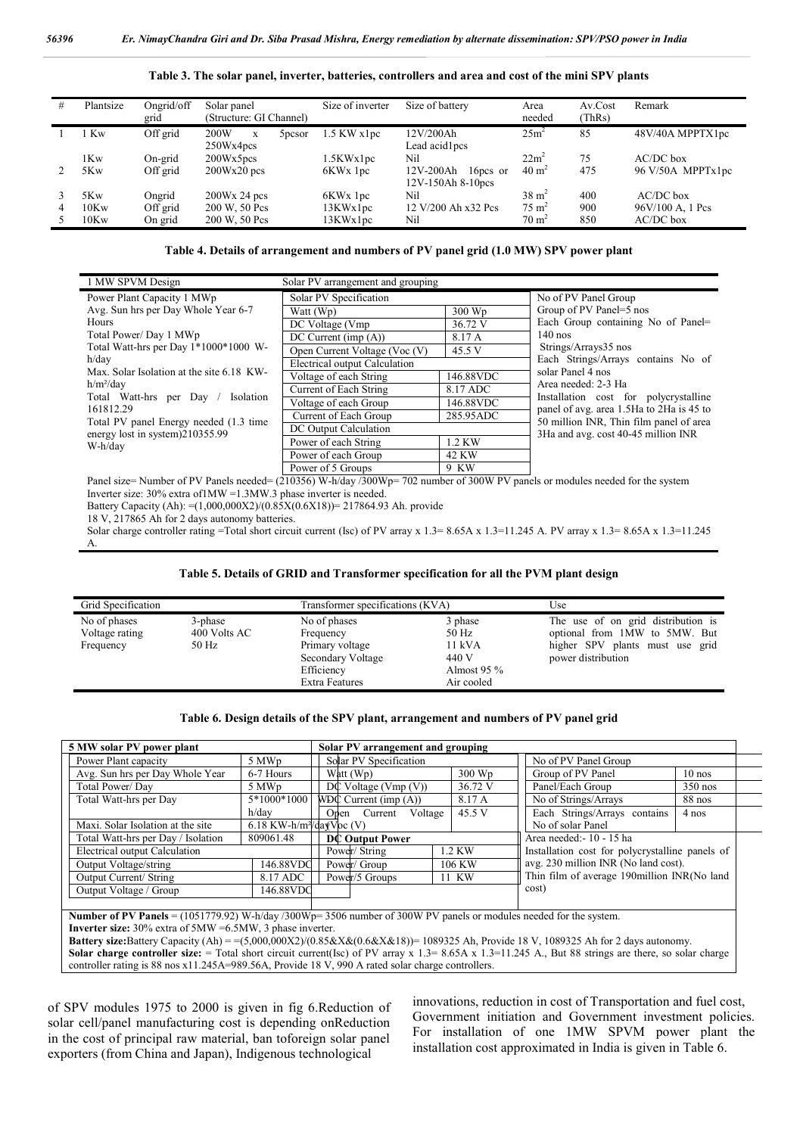| # | Plantsize | Ongrid/off | Solar panel                     | Size of inverter     | Size of battery       | Area             | Av.Cost | Remark                       |
|---|-----------|------------|---------------------------------|----------------------|-----------------------|------------------|---------|------------------------------|
|   |           | grid       | (Structure: GI Channel)         |                      |                       | needed           | (ThRs)  |                              |
|   | Kw        | Off grid   | 200W<br>5 <sub>pcsor</sub><br>X | 1.5 KW x1pc          | 12V/200Ah             | 25m <sup>2</sup> | 85      | 48V/40A MPPTX1pc             |
|   |           |            | 250Wx4pcs                       |                      | Lead acid1pcs         |                  |         |                              |
|   | 1Kw       | On-grid    | 200Wx5pcs                       | 1.5KWx1pc            | Nil                   | $22m^2$          | 75      | $AC/DC$ box                  |
|   | 5Kw       | Off grid   | $200Wx20$ pcs                   | 6KW <sub>x</sub> 1pc | 12V-200Ah<br>16pcs or | $40 \text{ m}^2$ | 475     | $96 \text{ V}/50$ A MPPTx1pc |
|   |           |            |                                 |                      | 12V-150Ah 8-10pcs     |                  |         |                              |
|   | 5Kw       | Ongrid     | $200Wx$ 24 pcs                  | 6KW <sub>x</sub> 1pc | Nil                   | $38 \text{ m}^2$ | 400     | AC/DC box                    |
| 4 | 10Kw      | Off grid   | 200 W, 50 Pcs                   | 13KWx1pc             | 12 V/200 Ah x32 Pcs   | $75 \text{ m}^2$ | 900     | 96V/100 A, 1 Pcs             |
|   | 10Kw      | On grid    | 200 W, 50 Pcs                   | 13KWx1pc             | Nil                   | $70 \text{ m}^2$ | 850     | $AC/DC$ box                  |

**Table 3. The solar panel, inverter, batteries, controllers and area and cost of the mini SPV plants**

**Table 4. Details of arrangement and numbers of PV panel grid (1.0 MW) SPV power plant**

| 1 MW SPVM Design                                 | Solar PV arrangement and grouping |           |                                                                                   |
|--------------------------------------------------|-----------------------------------|-----------|-----------------------------------------------------------------------------------|
| Power Plant Capacity 1 MWp                       | Solar PV Specification            |           | No of PV Panel Group                                                              |
| Avg. Sun hrs per Day Whole Year 6-7              | Watt (Wp)                         | 300 Wp    | Group of PV Panel=5 nos                                                           |
| <b>Hours</b>                                     | DC Voltage (Vmp)                  | 36.72 V   | Each Group containing No of Panel=                                                |
| Total Power/Day 1 MWp                            | $DC$ Current (imp $(A)$ )         | 8.17 A    | $140$ nos                                                                         |
| Total Watt-hrs per Day 1*1000*1000 W-            | Open Current Voltage (Voc (V)     | 45.5 V    | Strings/Arrays35 nos                                                              |
| h/day                                            | Electrical output Calculation     |           | Each Strings/Arrays contains No of                                                |
| Max. Solar Isolation at the site 6.18 KW-        | Voltage of each String            | 146.88VDC | solar Panel 4 nos                                                                 |
| $h/m^2$ /day                                     | Current of Each String            | 8.17 ADC  | Area needed: 2-3 Ha                                                               |
| Total Watt-hrs per Day<br>Isolation<br>161812.29 | Voltage of each Group             | 146.88VDC | Installation cost for polycrystalline<br>panel of avg. area 1.5Ha to 2Ha is 45 to |
| Total PV panel Energy needed (1.3 time           | Current of Each Group             | 285.95ADC | 50 million INR, Thin film panel of area                                           |
| energy lost in system)210355.99<br>W-h/day       | DC Output Calculation             |           | 3Ha and avg. cost 40-45 million INR                                               |
|                                                  | Power of each String              | 1.2 KW    |                                                                                   |
|                                                  | Power of each Group               | 42 KW     |                                                                                   |
|                                                  | Power of 5 Groups                 | 9 KW      |                                                                                   |

Panel size= Number of PV Panels needed= (210356) W-h/day /300Wp= 702 number of 300W PV panels or modules needed for the system Inverter size: 30% extra of1MW =1.3MW.3 phase inverter is needed.

Battery Capacity (Ah): =(1,000,000X2)/(0.85X(0.6X18))= 217864.93 Ah. provide

18 V, 217865 Ah for 2 days autonomy batteries.

Solar charge controller rating =Total short circuit current (Isc) of PV array x 1.3= 8.65A x 1.3=11.245 A. PV array x 1.3= 8.65A x 1.3=11.245 A.

#### **Table 5. Details of GRID and Transformer specification for all the PVM plant design**

| Grid Specification |              | Transformer specifications (KVA) |               | Use                                |
|--------------------|--------------|----------------------------------|---------------|------------------------------------|
| No of phases       | 3-phase      | No of phases                     | 3 phase       | The use of on grid distribution is |
| Voltage rating     | 400 Volts AC | Frequency                        | 50 Hz         | optional from 1MW to 5MW. But      |
| Frequency          | 50 Hz        | Primary voltage                  | 11 kVA        | higher SPV plants must use grid    |
|                    |              | Secondary Voltage                | 440 V         | power distribution                 |
|                    |              | Efficiency                       | Almost $95\%$ |                                    |
|                    |              | <b>Extra Features</b>            | Air cooled    |                                    |

#### **Table 6. Design details of the SPV plant, arrangement and numbers of PV panel grid**

| 5 MW solar PV power plant          |                                      | Solar PV arrangement and grouping |         |                                                 |           |  |
|------------------------------------|--------------------------------------|-----------------------------------|---------|-------------------------------------------------|-----------|--|
| Power Plant capacity               | 5 MWp                                | Solar PV Specification            |         | No of PV Panel Group                            |           |  |
| Avg. Sun hrs per Day Whole Year    | 6-7 Hours                            | Watt (Wp)                         | 300 Wp  | Group of PV Panel                               | $10$ nos  |  |
| Total Power/Day                    | 5 MWp                                | $D\mathbb{C}$ Voltage (Vmp (V))   | 36.72 V | Panel/Each Group                                | $350$ nos |  |
| Total Watt-hrs per Day             | 5*1000*1000                          | $WDC$ Current (imp $(A)$ )        | 8.17 A  | No of Strings/Arrays                            | 88 nos    |  |
|                                    | h/day                                | Voltage<br>Open Current           | 45.5 V  | Each Strings/Arrays contains                    | 4 nos     |  |
| Maxi. Solar Isolation at the site  | 6.18 KW-h/m <sup>2</sup> /davVoc (V) |                                   |         | No of solar Panel                               |           |  |
| Total Watt-hrs per Day / Isolation | 809061.48                            | <b>DC Output Power</b>            |         | Area needed: - 10 - 15 ha                       |           |  |
| Electrical output Calculation      |                                      | Power/String                      | 1.2 KW  | Installation cost for polycrystalline panels of |           |  |
| Output Voltage/string              | 146.88VDC                            | Power/ Group                      | 106 KW  | avg. 230 million INR (No land cost).            |           |  |
| <b>Output Current/ String</b>      | 8.17 ADC                             | Power/5 Groups<br>11 KW           |         | Thin film of average 190million INR(No land     |           |  |
| Output Voltage / Group             | 146.88VDC                            |                                   |         | cost)                                           |           |  |
|                                    |                                      |                                   |         |                                                 |           |  |

**Number of PV Panels** = (1051779.92) W-h/day /300Wp= 3506 number of 300W PV panels or modules needed for the system. **Inverter size:** 30% extra of 5MW =6.5MW, 3 phase inverter.

**Battery size:**Battery Capacity (Ah) = =(5,000,000X2)/(0.85&X&(0.6&X&18))= 1089325 Ah, Provide 18 V, 1089325 Ah for 2 days autonomy.

Solar charge controller size: = Total short circuit current(Isc) of PV array x 1.3= 8.65A x 1.3=11.245 A., But 88 strings are there, so solar charge controller rating is 88 nos x11.245A=989.56A, Provide 18 V, 990 A rated solar charge controllers.

of SPV modules 1975 to 2000 is given in fig 6.Reduction of solar cell/panel manufacturing cost is depending onReduction in the cost of principal raw material, ban toforeign solar panel exporters (from China and Japan), Indigenous technological

innovations, reduction in cost of Transportation and fuel cost, Government initiation and Government investment policies. For installation of one 1MW SPVM power plant the installation cost approximated in India is given in Table 6.